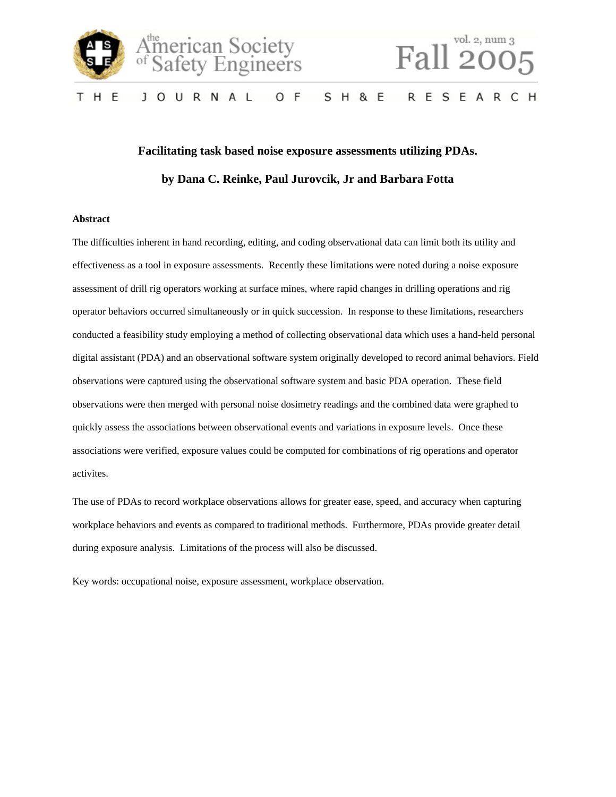



# vol. 2, num 3 Fall 20

#### **RESEARCH** T H E J O U R N A L O F **SH & E**

# **Facilitating task based noise exposure assessments utilizing PDAs. by Dana C. Reinke, Paul Jurovcik, Jr and Barbara Fotta**

#### **Abstract**

The difficulties inherent in hand recording, editing, and coding observational data can limit both its utility and effectiveness as a tool in exposure assessments. Recently these limitations were noted during a noise exposure assessment of drill rig operators working at surface mines, where rapid changes in drilling operations and rig operator behaviors occurred simultaneously or in quick succession. In response to these limitations, researchers conducted a feasibility study employing a method of collecting observational data which uses a hand-held personal digital assistant (PDA) and an observational software system originally developed to record animal behaviors. Field observations were captured using the observational software system and basic PDA operation. These field observations were then merged with personal noise dosimetry readings and the combined data were graphed to quickly assess the associations between observational events and variations in exposure levels. Once these associations were verified, exposure values could be computed for combinations of rig operations and operator activites.

The use of PDAs to record workplace observations allows for greater ease, speed, and accuracy when capturing workplace behaviors and events as compared to traditional methods. Furthermore, PDAs provide greater detail during exposure analysis. Limitations of the process will also be discussed.

Key words: occupational noise, exposure assessment, workplace observation.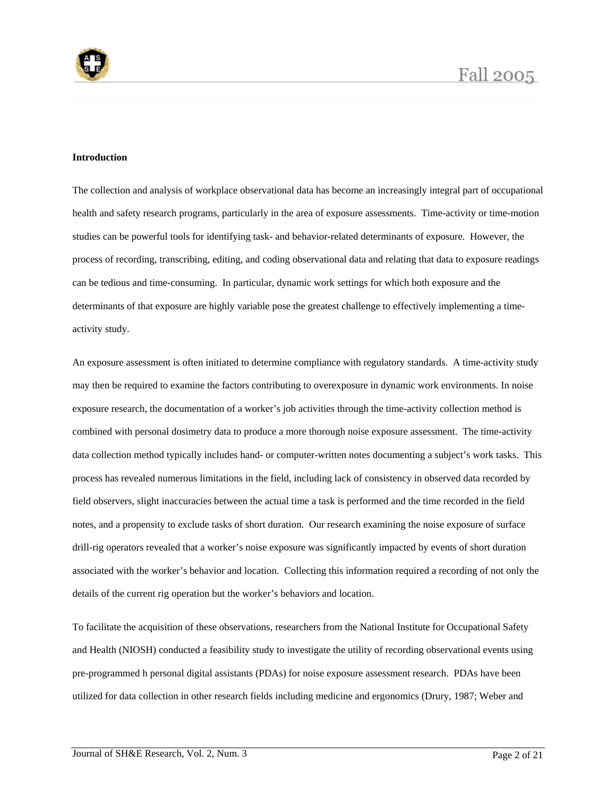

### **Introduction**

The collection and analysis of workplace observational data has become an increasingly integral part of occupational health and safety research programs, particularly in the area of exposure assessments. Time-activity or time-motion studies can be powerful tools for identifying task- and behavior-related determinants of exposure. However, the process of recording, transcribing, editing, and coding observational data and relating that data to exposure readings can be tedious and time-consuming. In particular, dynamic work settings for which both exposure and the determinants of that exposure are highly variable pose the greatest challenge to effectively implementing a timeactivity study.

An exposure assessment is often initiated to determine compliance with regulatory standards. A time-activity study may then be required to examine the factors contributing to overexposure in dynamic work environments. In noise exposure research, the documentation of a worker's job activities through the time-activity collection method is combined with personal dosimetry data to produce a more thorough noise exposure assessment. The time-activity data collection method typically includes hand- or computer-written notes documenting a subject's work tasks. This process has revealed numerous limitations in the field, including lack of consistency in observed data recorded by field observers, slight inaccuracies between the actual time a task is performed and the time recorded in the field notes, and a propensity to exclude tasks of short duration. Our research examining the noise exposure of surface drill-rig operators revealed that a worker's noise exposure was significantly impacted by events of short duration associated with the worker's behavior and location. Collecting this information required a recording of not only the details of the current rig operation but the worker's behaviors and location.

To facilitate the acquisition of these observations, researchers from the National Institute for Occupational Safety and Health (NIOSH) conducted a feasibility study to investigate the utility of recording observational events using pre-programmed h personal digital assistants (PDAs) for noise exposure assessment research. PDAs have been utilized for data collection in other research fields including medicine and ergonomics (Drury, 1987; Weber and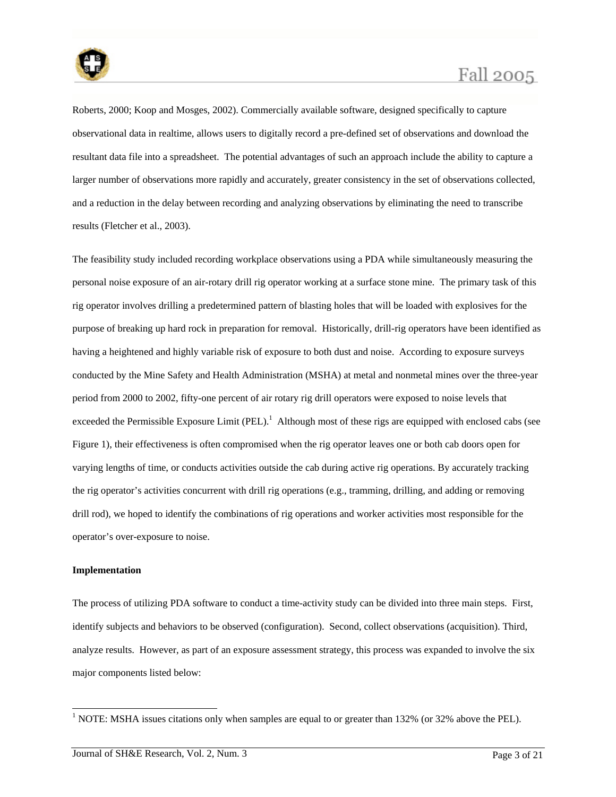

Roberts, 2000; Koop and Mosges, 2002). Commercially available software, designed specifically to capture observational data in realtime, allows users to digitally record a pre-defined set of observations and download the resultant data file into a spreadsheet. The potential advantages of such an approach include the ability to capture a larger number of observations more rapidly and accurately, greater consistency in the set of observations collected, and a reduction in the delay between recording and analyzing observations by eliminating the need to transcribe results (Fletcher et al., 2003).

The feasibility study included recording workplace observations using a PDA while simultaneously measuring the personal noise exposure of an air-rotary drill rig operator working at a surface stone mine. The primary task of this rig operator involves drilling a predetermined pattern of blasting holes that will be loaded with explosives for the purpose of breaking up hard rock in preparation for removal. Historically, drill-rig operators have been identified as having a heightened and highly variable risk of exposure to both dust and noise. According to exposure surveys conducted by the Mine Safety and Health Administration (MSHA) at metal and nonmetal mines over the three-year period from 2000 to 2002, fifty-one percent of air rotary rig drill operators were exposed to noise levels that exceeded the Permissible Exposure Limit (PEL).<sup>1</sup> Although most of these rigs are equipped with enclosed cabs (see Figure 1), their effectiveness is often compromised when the rig operator leaves one or both cab doors open for varying lengths of time, or conducts activities outside the cab during active rig operations. By accurately tracking the rig operator's activities concurrent with drill rig operations (e.g., tramming, drilling, and adding or removing drill rod), we hoped to identify the combinations of rig operations and worker activities most responsible for the operator's over-exposure to noise.

### **Implementation**

-

The process of utilizing PDA software to conduct a time-activity study can be divided into three main steps. First, identify subjects and behaviors to be observed (configuration). Second, collect observations (acquisition). Third, analyze results. However, as part of an exposure assessment strategy, this process was expanded to involve the six major components listed below:

<sup>&</sup>lt;sup>1</sup> NOTE: MSHA issues citations only when samples are equal to or greater than 132% (or 32% above the PEL).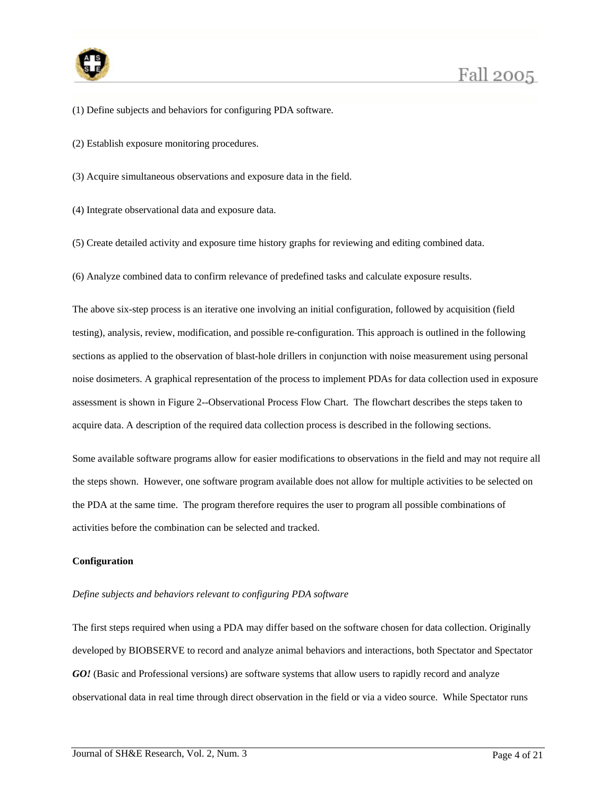

- (1) Define subjects and behaviors for configuring PDA software.
- (2) Establish exposure monitoring procedures.
- (3) Acquire simultaneous observations and exposure data in the field.
- (4) Integrate observational data and exposure data.
- (5) Create detailed activity and exposure time history graphs for reviewing and editing combined data.
- (6) Analyze combined data to confirm relevance of predefined tasks and calculate exposure results.

The above six-step process is an iterative one involving an initial configuration, followed by acquisition (field testing), analysis, review, modification, and possible re-configuration. This approach is outlined in the following sections as applied to the observation of blast-hole drillers in conjunction with noise measurement using personal noise dosimeters. A graphical representation of the process to implement PDAs for data collection used in exposure assessment is shown in Figure 2--Observational Process Flow Chart. The flowchart describes the steps taken to acquire data. A description of the required data collection process is described in the following sections.

Some available software programs allow for easier modifications to observations in the field and may not require all the steps shown. However, one software program available does not allow for multiple activities to be selected on the PDA at the same time. The program therefore requires the user to program all possible combinations of activities before the combination can be selected and tracked.

#### **Configuration**

#### *Define subjects and behaviors relevant to configuring PDA software*

The first steps required when using a PDA may differ based on the software chosen for data collection. Originally developed by BIOBSERVE to record and analyze animal behaviors and interactions, both Spectator and Spectator *GO!* (Basic and Professional versions) are software systems that allow users to rapidly record and analyze observational data in real time through direct observation in the field or via a video source. While Spectator runs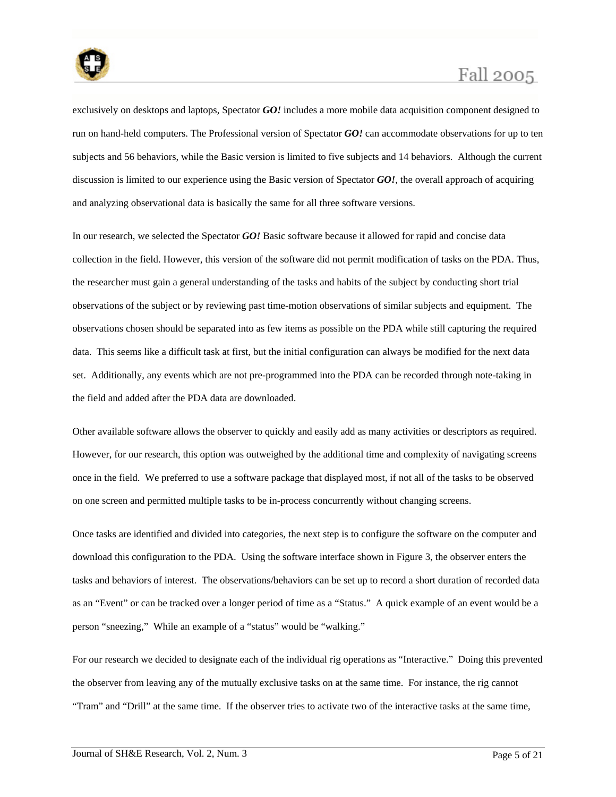

exclusively on desktops and laptops, Spectator *GO!* includes a more mobile data acquisition component designed to run on hand-held computers. The Professional version of Spectator *GO!* can accommodate observations for up to ten subjects and 56 behaviors, while the Basic version is limited to five subjects and 14 behaviors. Although the current discussion is limited to our experience using the Basic version of Spectator *GO!*, the overall approach of acquiring and analyzing observational data is basically the same for all three software versions.

In our research, we selected the Spectator *GO!* Basic software because it allowed for rapid and concise data collection in the field. However, this version of the software did not permit modification of tasks on the PDA. Thus, the researcher must gain a general understanding of the tasks and habits of the subject by conducting short trial observations of the subject or by reviewing past time-motion observations of similar subjects and equipment. The observations chosen should be separated into as few items as possible on the PDA while still capturing the required data. This seems like a difficult task at first, but the initial configuration can always be modified for the next data set. Additionally, any events which are not pre-programmed into the PDA can be recorded through note-taking in the field and added after the PDA data are downloaded.

Other available software allows the observer to quickly and easily add as many activities or descriptors as required. However, for our research, this option was outweighed by the additional time and complexity of navigating screens once in the field. We preferred to use a software package that displayed most, if not all of the tasks to be observed on one screen and permitted multiple tasks to be in-process concurrently without changing screens.

Once tasks are identified and divided into categories, the next step is to configure the software on the computer and download this configuration to the PDA. Using the software interface shown in Figure 3, the observer enters the tasks and behaviors of interest. The observations/behaviors can be set up to record a short duration of recorded data as an "Event" or can be tracked over a longer period of time as a "Status." A quick example of an event would be a person "sneezing," While an example of a "status" would be "walking."

For our research we decided to designate each of the individual rig operations as "Interactive." Doing this prevented the observer from leaving any of the mutually exclusive tasks on at the same time. For instance, the rig cannot "Tram" and "Drill" at the same time. If the observer tries to activate two of the interactive tasks at the same time,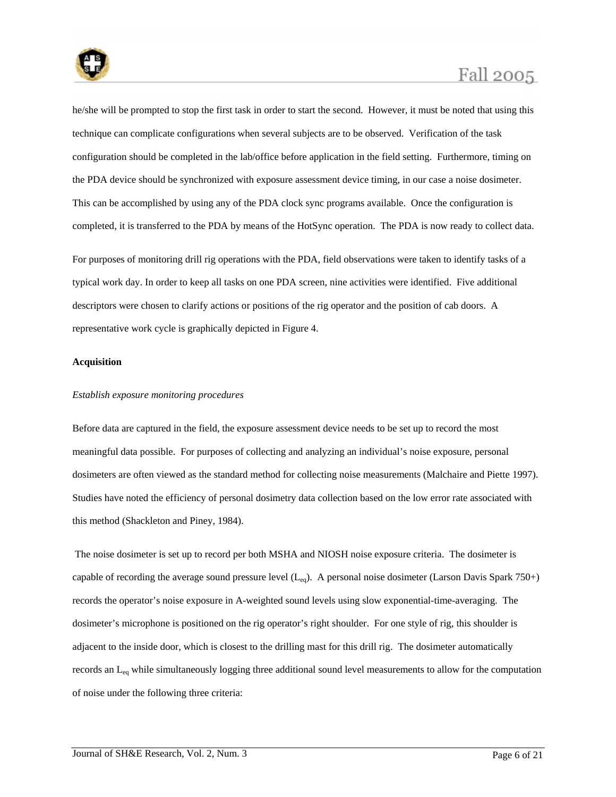

he/she will be prompted to stop the first task in order to start the second. However, it must be noted that using this technique can complicate configurations when several subjects are to be observed. Verification of the task configuration should be completed in the lab/office before application in the field setting. Furthermore, timing on the PDA device should be synchronized with exposure assessment device timing, in our case a noise dosimeter. This can be accomplished by using any of the PDA clock sync programs available. Once the configuration is completed, it is transferred to the PDA by means of the HotSync operation. The PDA is now ready to collect data.

For purposes of monitoring drill rig operations with the PDA, field observations were taken to identify tasks of a typical work day. In order to keep all tasks on one PDA screen, nine activities were identified. Five additional descriptors were chosen to clarify actions or positions of the rig operator and the position of cab doors. A representative work cycle is graphically depicted in Figure 4.

#### **Acquisition**

### *Establish exposure monitoring procedures*

Before data are captured in the field, the exposure assessment device needs to be set up to record the most meaningful data possible. For purposes of collecting and analyzing an individual's noise exposure, personal dosimeters are often viewed as the standard method for collecting noise measurements (Malchaire and Piette 1997). Studies have noted the efficiency of personal dosimetry data collection based on the low error rate associated with this method (Shackleton and Piney, 1984).

 The noise dosimeter is set up to record per both MSHA and NIOSH noise exposure criteria. The dosimeter is capable of recording the average sound pressure level  $(L_{eq})$ . A personal noise dosimeter (Larson Davis Spark 750+) records the operator's noise exposure in A-weighted sound levels using slow exponential-time-averaging. The dosimeter's microphone is positioned on the rig operator's right shoulder. For one style of rig, this shoulder is adjacent to the inside door, which is closest to the drilling mast for this drill rig. The dosimeter automatically records an Leq while simultaneously logging three additional sound level measurements to allow for the computation of noise under the following three criteria: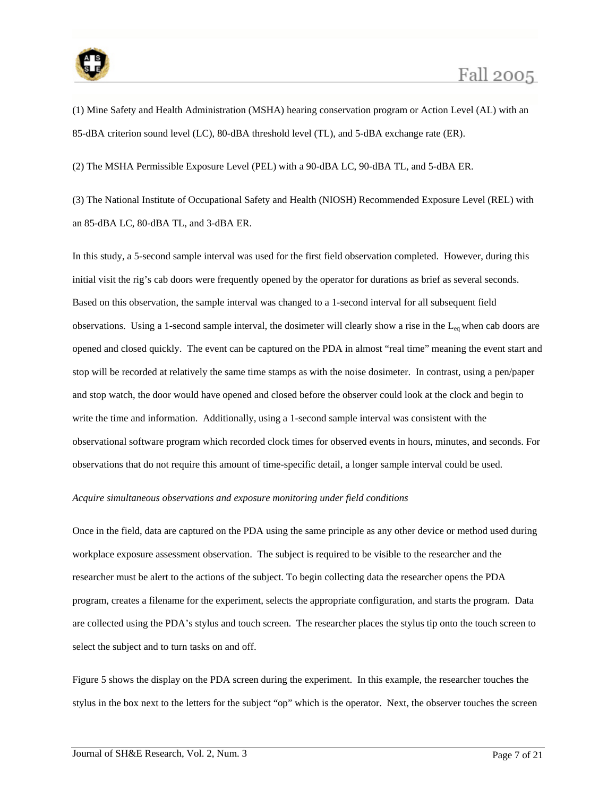

(1) Mine Safety and Health Administration (MSHA) hearing conservation program or Action Level (AL) with an 85-dBA criterion sound level (LC), 80-dBA threshold level (TL), and 5-dBA exchange rate (ER).

(2) The MSHA Permissible Exposure Level (PEL) with a 90-dBA LC, 90-dBA TL, and 5-dBA ER.

(3) The National Institute of Occupational Safety and Health (NIOSH) Recommended Exposure Level (REL) with an 85-dBA LC, 80-dBA TL, and 3-dBA ER.

In this study, a 5-second sample interval was used for the first field observation completed. However, during this initial visit the rig's cab doors were frequently opened by the operator for durations as brief as several seconds. Based on this observation, the sample interval was changed to a 1-second interval for all subsequent field observations. Using a 1-second sample interval, the dosimeter will clearly show a rise in the Leq when cab doors are opened and closed quickly. The event can be captured on the PDA in almost "real time" meaning the event start and stop will be recorded at relatively the same time stamps as with the noise dosimeter. In contrast, using a pen/paper and stop watch, the door would have opened and closed before the observer could look at the clock and begin to write the time and information. Additionally, using a 1-second sample interval was consistent with the observational software program which recorded clock times for observed events in hours, minutes, and seconds. For observations that do not require this amount of time-specific detail, a longer sample interval could be used.

### *Acquire simultaneous observations and exposure monitoring under field conditions*

Once in the field, data are captured on the PDA using the same principle as any other device or method used during workplace exposure assessment observation. The subject is required to be visible to the researcher and the researcher must be alert to the actions of the subject. To begin collecting data the researcher opens the PDA program, creates a filename for the experiment, selects the appropriate configuration, and starts the program. Data are collected using the PDA's stylus and touch screen. The researcher places the stylus tip onto the touch screen to select the subject and to turn tasks on and off.

Figure 5 shows the display on the PDA screen during the experiment. In this example, the researcher touches the stylus in the box next to the letters for the subject "op" which is the operator. Next, the observer touches the screen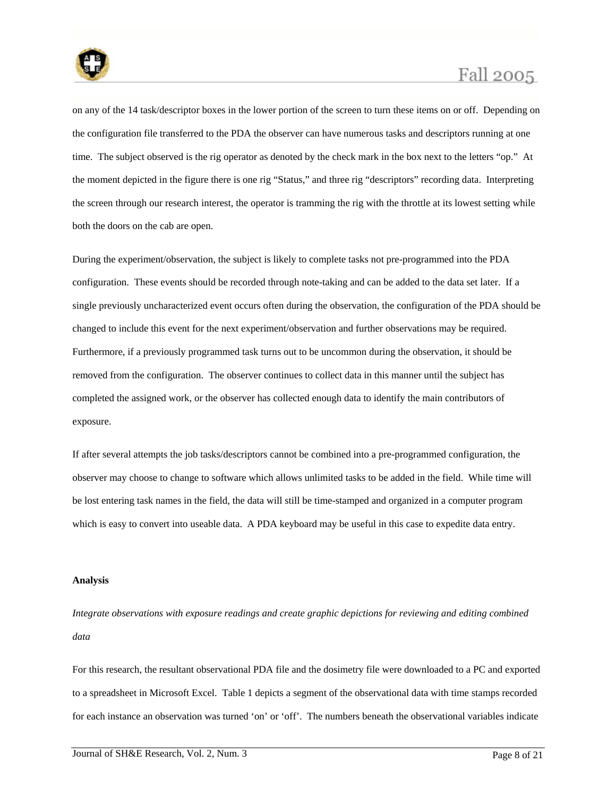

on any of the 14 task/descriptor boxes in the lower portion of the screen to turn these items on or off. Depending on the configuration file transferred to the PDA the observer can have numerous tasks and descriptors running at one time. The subject observed is the rig operator as denoted by the check mark in the box next to the letters "op." At the moment depicted in the figure there is one rig "Status," and three rig "descriptors" recording data. Interpreting the screen through our research interest, the operator is tramming the rig with the throttle at its lowest setting while both the doors on the cab are open.

During the experiment/observation, the subject is likely to complete tasks not pre-programmed into the PDA configuration. These events should be recorded through note-taking and can be added to the data set later. If a single previously uncharacterized event occurs often during the observation, the configuration of the PDA should be changed to include this event for the next experiment/observation and further observations may be required. Furthermore, if a previously programmed task turns out to be uncommon during the observation, it should be removed from the configuration. The observer continues to collect data in this manner until the subject has completed the assigned work, or the observer has collected enough data to identify the main contributors of exposure.

If after several attempts the job tasks/descriptors cannot be combined into a pre-programmed configuration, the observer may choose to change to software which allows unlimited tasks to be added in the field. While time will be lost entering task names in the field, the data will still be time-stamped and organized in a computer program which is easy to convert into useable data. A PDA keyboard may be useful in this case to expedite data entry.

#### **Analysis**

*Integrate observations with exposure readings and create graphic depictions for reviewing and editing combined data* 

For this research, the resultant observational PDA file and the dosimetry file were downloaded to a PC and exported to a spreadsheet in Microsoft Excel. Table 1 depicts a segment of the observational data with time stamps recorded for each instance an observation was turned 'on' or 'off'. The numbers beneath the observational variables indicate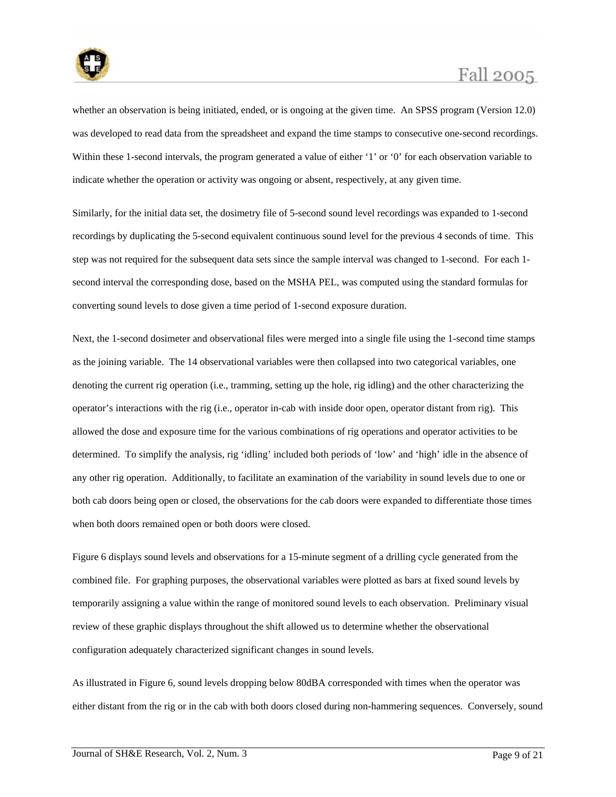

whether an observation is being initiated, ended, or is ongoing at the given time. An SPSS program (Version 12.0) was developed to read data from the spreadsheet and expand the time stamps to consecutive one-second recordings. Within these 1-second intervals, the program generated a value of either '1' or '0' for each observation variable to indicate whether the operation or activity was ongoing or absent, respectively, at any given time.

Similarly, for the initial data set, the dosimetry file of 5-second sound level recordings was expanded to 1-second recordings by duplicating the 5-second equivalent continuous sound level for the previous 4 seconds of time. This step was not required for the subsequent data sets since the sample interval was changed to 1-second. For each 1 second interval the corresponding dose, based on the MSHA PEL, was computed using the standard formulas for converting sound levels to dose given a time period of 1-second exposure duration.

Next, the 1-second dosimeter and observational files were merged into a single file using the 1-second time stamps as the joining variable. The 14 observational variables were then collapsed into two categorical variables, one denoting the current rig operation (i.e., tramming, setting up the hole, rig idling) and the other characterizing the operator's interactions with the rig (i.e., operator in-cab with inside door open, operator distant from rig). This allowed the dose and exposure time for the various combinations of rig operations and operator activities to be determined. To simplify the analysis, rig 'idling' included both periods of 'low' and 'high' idle in the absence of any other rig operation. Additionally, to facilitate an examination of the variability in sound levels due to one or both cab doors being open or closed, the observations for the cab doors were expanded to differentiate those times when both doors remained open or both doors were closed.

Figure 6 displays sound levels and observations for a 15-minute segment of a drilling cycle generated from the combined file. For graphing purposes, the observational variables were plotted as bars at fixed sound levels by temporarily assigning a value within the range of monitored sound levels to each observation. Preliminary visual review of these graphic displays throughout the shift allowed us to determine whether the observational configuration adequately characterized significant changes in sound levels.

As illustrated in Figure 6, sound levels dropping below 80dBA corresponded with times when the operator was either distant from the rig or in the cab with both doors closed during non-hammering sequences. Conversely, sound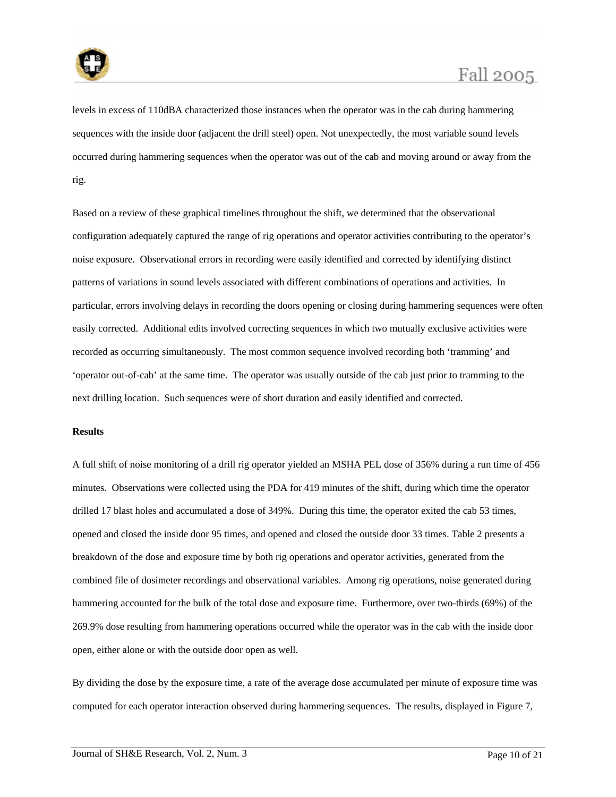

levels in excess of 110dBA characterized those instances when the operator was in the cab during hammering sequences with the inside door (adjacent the drill steel) open. Not unexpectedly, the most variable sound levels occurred during hammering sequences when the operator was out of the cab and moving around or away from the rig.

Based on a review of these graphical timelines throughout the shift, we determined that the observational configuration adequately captured the range of rig operations and operator activities contributing to the operator's noise exposure. Observational errors in recording were easily identified and corrected by identifying distinct patterns of variations in sound levels associated with different combinations of operations and activities. In particular, errors involving delays in recording the doors opening or closing during hammering sequences were often easily corrected. Additional edits involved correcting sequences in which two mutually exclusive activities were recorded as occurring simultaneously. The most common sequence involved recording both 'tramming' and 'operator out-of-cab' at the same time. The operator was usually outside of the cab just prior to tramming to the next drilling location. Such sequences were of short duration and easily identified and corrected.

#### **Results**

A full shift of noise monitoring of a drill rig operator yielded an MSHA PEL dose of 356% during a run time of 456 minutes. Observations were collected using the PDA for 419 minutes of the shift, during which time the operator drilled 17 blast holes and accumulated a dose of 349%. During this time, the operator exited the cab 53 times, opened and closed the inside door 95 times, and opened and closed the outside door 33 times. Table 2 presents a breakdown of the dose and exposure time by both rig operations and operator activities, generated from the combined file of dosimeter recordings and observational variables. Among rig operations, noise generated during hammering accounted for the bulk of the total dose and exposure time. Furthermore, over two-thirds (69%) of the 269.9% dose resulting from hammering operations occurred while the operator was in the cab with the inside door open, either alone or with the outside door open as well.

By dividing the dose by the exposure time, a rate of the average dose accumulated per minute of exposure time was computed for each operator interaction observed during hammering sequences. The results, displayed in Figure 7,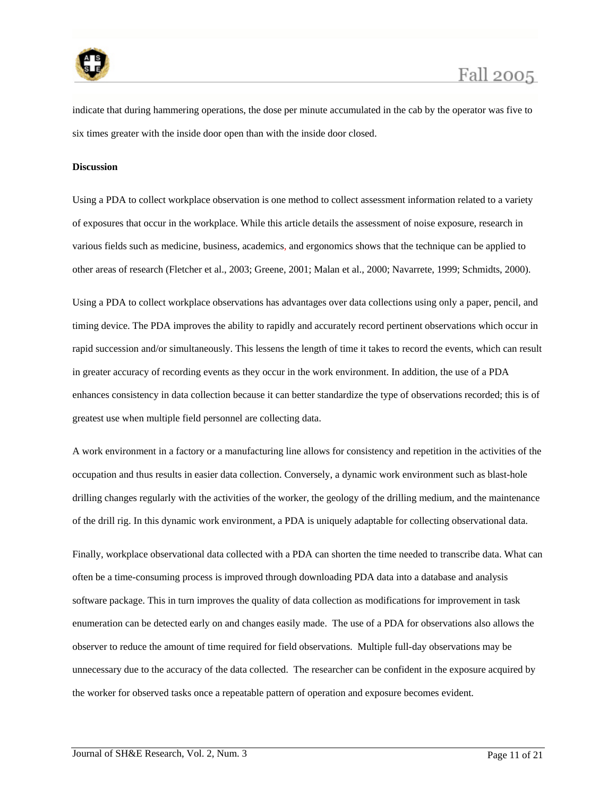

indicate that during hammering operations, the dose per minute accumulated in the cab by the operator was five to six times greater with the inside door open than with the inside door closed.

#### **Discussion**

Using a PDA to collect workplace observation is one method to collect assessment information related to a variety of exposures that occur in the workplace. While this article details the assessment of noise exposure, research in various fields such as medicine, business, academics, and ergonomics shows that the technique can be applied to other areas of research (Fletcher et al., 2003; Greene, 2001; Malan et al., 2000; Navarrete, 1999; Schmidts, 2000).

Using a PDA to collect workplace observations has advantages over data collections using only a paper, pencil, and timing device. The PDA improves the ability to rapidly and accurately record pertinent observations which occur in rapid succession and/or simultaneously. This lessens the length of time it takes to record the events, which can result in greater accuracy of recording events as they occur in the work environment. In addition, the use of a PDA enhances consistency in data collection because it can better standardize the type of observations recorded; this is of greatest use when multiple field personnel are collecting data.

A work environment in a factory or a manufacturing line allows for consistency and repetition in the activities of the occupation and thus results in easier data collection. Conversely, a dynamic work environment such as blast-hole drilling changes regularly with the activities of the worker, the geology of the drilling medium, and the maintenance of the drill rig. In this dynamic work environment, a PDA is uniquely adaptable for collecting observational data.

Finally, workplace observational data collected with a PDA can shorten the time needed to transcribe data. What can often be a time-consuming process is improved through downloading PDA data into a database and analysis software package. This in turn improves the quality of data collection as modifications for improvement in task enumeration can be detected early on and changes easily made. The use of a PDA for observations also allows the observer to reduce the amount of time required for field observations. Multiple full-day observations may be unnecessary due to the accuracy of the data collected. The researcher can be confident in the exposure acquired by the worker for observed tasks once a repeatable pattern of operation and exposure becomes evident.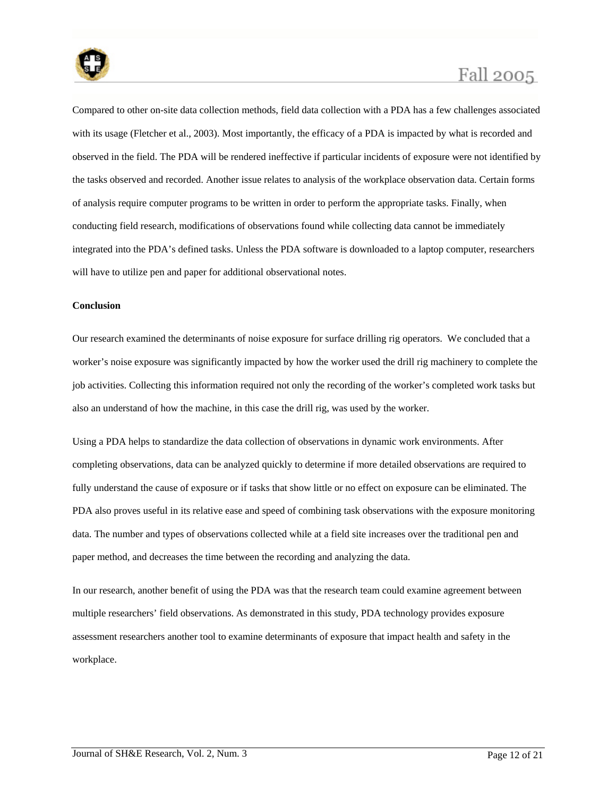

Compared to other on-site data collection methods, field data collection with a PDA has a few challenges associated with its usage (Fletcher et al., 2003). Most importantly, the efficacy of a PDA is impacted by what is recorded and observed in the field. The PDA will be rendered ineffective if particular incidents of exposure were not identified by the tasks observed and recorded. Another issue relates to analysis of the workplace observation data. Certain forms of analysis require computer programs to be written in order to perform the appropriate tasks. Finally, when conducting field research, modifications of observations found while collecting data cannot be immediately integrated into the PDA's defined tasks. Unless the PDA software is downloaded to a laptop computer, researchers will have to utilize pen and paper for additional observational notes.

#### **Conclusion**

Our research examined the determinants of noise exposure for surface drilling rig operators. We concluded that a worker's noise exposure was significantly impacted by how the worker used the drill rig machinery to complete the job activities. Collecting this information required not only the recording of the worker's completed work tasks but also an understand of how the machine, in this case the drill rig, was used by the worker.

Using a PDA helps to standardize the data collection of observations in dynamic work environments. After completing observations, data can be analyzed quickly to determine if more detailed observations are required to fully understand the cause of exposure or if tasks that show little or no effect on exposure can be eliminated. The PDA also proves useful in its relative ease and speed of combining task observations with the exposure monitoring data. The number and types of observations collected while at a field site increases over the traditional pen and paper method, and decreases the time between the recording and analyzing the data.

In our research, another benefit of using the PDA was that the research team could examine agreement between multiple researchers' field observations. As demonstrated in this study, PDA technology provides exposure assessment researchers another tool to examine determinants of exposure that impact health and safety in the workplace.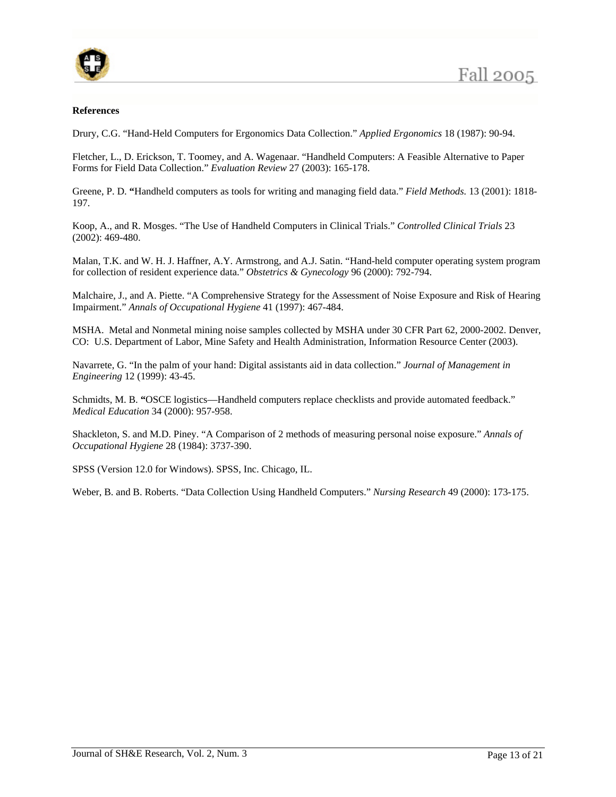

#### **References**

Drury, C.G. "Hand-Held Computers for Ergonomics Data Collection." *Applied Ergonomics* 18 (1987): 90-94.

Fletcher, L., D. Erickson, T. Toomey, and A. Wagenaar. "Handheld Computers: A Feasible Alternative to Paper Forms for Field Data Collection." *Evaluation Review* 27 (2003): 165-178.

Greene, P. D. **"**Handheld computers as tools for writing and managing field data." *Field Methods.* 13 (2001): 1818- 197.

Koop, A., and R. Mosges. "The Use of Handheld Computers in Clinical Trials." *Controlled Clinical Trials* 23 (2002): 469-480.

Malan, T.K. and W. H. J. Haffner, A.Y. Armstrong, and A.J. Satin. "Hand-held computer operating system program for collection of resident experience data." *Obstetrics & Gynecology* 96 (2000): 792-794.

Malchaire, J., and A. Piette. "A Comprehensive Strategy for the Assessment of Noise Exposure and Risk of Hearing Impairment." *Annals of Occupational Hygiene* 41 (1997): 467-484.

MSHA. Metal and Nonmetal mining noise samples collected by MSHA under 30 CFR Part 62, 2000-2002. Denver, CO: U.S. Department of Labor, Mine Safety and Health Administration, Information Resource Center (2003).

Navarrete, G. "In the palm of your hand: Digital assistants aid in data collection." *Journal of Management in Engineering* 12 (1999): 43-45.

Schmidts, M. B. **"**OSCE logistics—Handheld computers replace checklists and provide automated feedback." *Medical Education* 34 (2000): 957-958.

Shackleton, S. and M.D. Piney. "A Comparison of 2 methods of measuring personal noise exposure." *Annals of Occupational Hygiene* 28 (1984): 3737-390.

SPSS (Version 12.0 for Windows). SPSS, Inc. Chicago, IL.

Weber, B. and B. Roberts. "Data Collection Using Handheld Computers." *Nursing Research* 49 (2000): 173-175.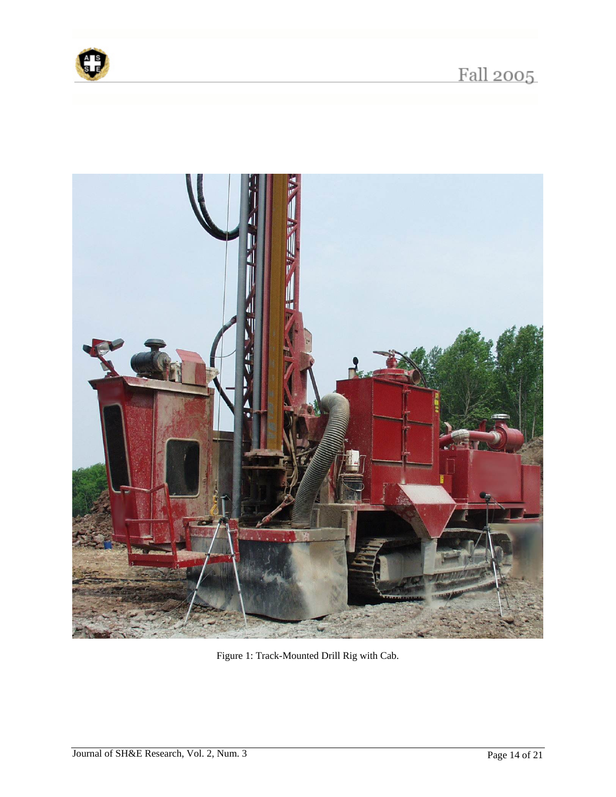



Figure 1: Track-Mounted Drill Rig with Cab.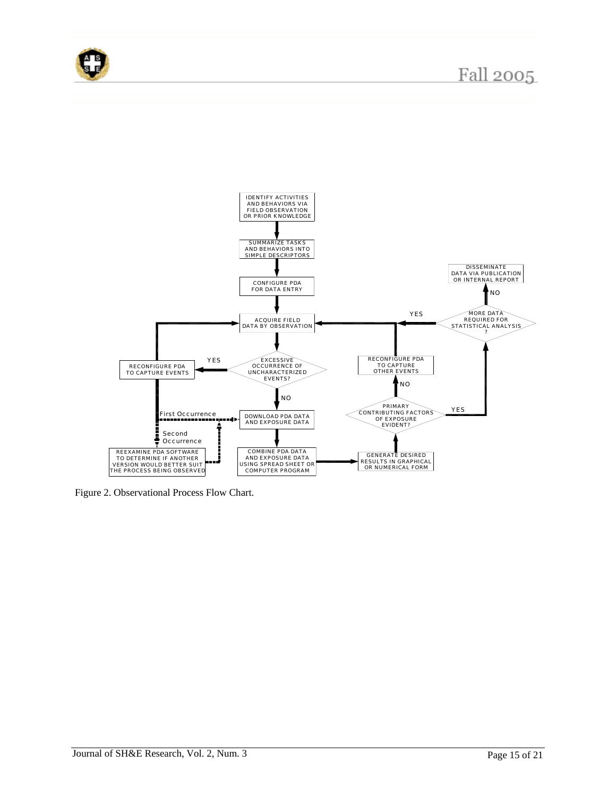





Figure 2. Observational Process Flow Chart.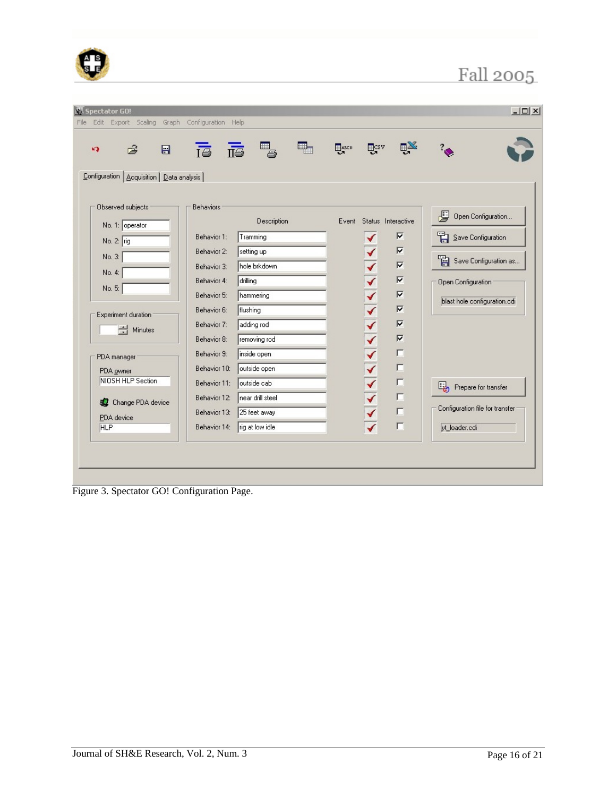| 1.1 | . .<br>- 2 |  |
|-----|------------|--|
|     |            |  |

| $\blacksquare$<br>ෂි<br>K)                  | $\bar{B}$ $\bar{B}$ $\bar{B}$ | ₽.               | <b>HASCH</b> | <b>ELCSV</b>            | $\mathbb{R}^{\mathbb{X}}$ |                                 |  |
|---------------------------------------------|-------------------------------|------------------|--------------|-------------------------|---------------------------|---------------------------------|--|
| Configuration   Acquisition   Data analysis |                               |                  |              |                         |                           |                                 |  |
|                                             |                               |                  |              |                         |                           |                                 |  |
| Observed subjects                           | <b>Behaviors</b>              |                  |              |                         | Event Status Interactive  | 閆<br>Open Configuration         |  |
| No. 1: operator                             |                               | Description      |              |                         |                           |                                 |  |
| No. 2: rig                                  | Behavior 1:                   | Tramming         |              | ✔                       | $\overline{\mathbf{v}}$   | Save Configuration              |  |
| No. 3:                                      | Behavior 2:                   | setting up       |              |                         | $\overline{\mathbf{v}}$   | Save Configuration as           |  |
| No. 4:                                      | Behavior 3:                   | hole brkdown     |              |                         | $\overline{\mathbf{v}}$   |                                 |  |
|                                             | Behavior 4:                   | drilling         |              |                         | $\overline{\mathbf{v}}$   | Open Configuration              |  |
| No. 5:                                      | Behavior 5:                   | hammering        |              |                         | $\overline{\mathbf{v}}$   |                                 |  |
|                                             | Behavior 6:                   | flushing         |              |                         | $\overline{\mathbf{v}}$   | blast hole configuration.cdi    |  |
| Experiment duration                         | Behavior 7:                   | adding rod       |              |                         | $\overline{\mathbf{v}}$   |                                 |  |
| $\Rightarrow$ Minutes                       | Behavior 8:                   | removing rod     |              | くくへんへん へんへん             | $\overline{\mathbf{w}}$   |                                 |  |
|                                             | Behavior 9:                   | inside open      |              |                         | $\Box$                    |                                 |  |
| PDA manager                                 | Behavior 10:                  | outside open     |              |                         | $\Box$                    |                                 |  |
| PDA owner<br>NIOSH HLP Section              |                               |                  |              |                         | г                         |                                 |  |
|                                             | Behavior 11:                  | outside cab      |              |                         |                           | Prepare for transfer            |  |
| <b>A</b> Change PDA device                  | Behavior 12:                  | near drill steel |              | $\overline{\textbf{v}}$ | $\Box$                    | Configuration file for transfer |  |
| PDA device                                  | Behavior 13:                  | 25 feet away     |              | $\overline{\textbf{v}}$ | $\Box$                    |                                 |  |
| <b>HLP</b>                                  | Behavior 14:                  | rig at low idle  |              |                         | г                         | yt loader.cdi                   |  |
|                                             |                               |                  |              |                         |                           |                                 |  |

Figure 3. Spectator GO! Configuration Page.

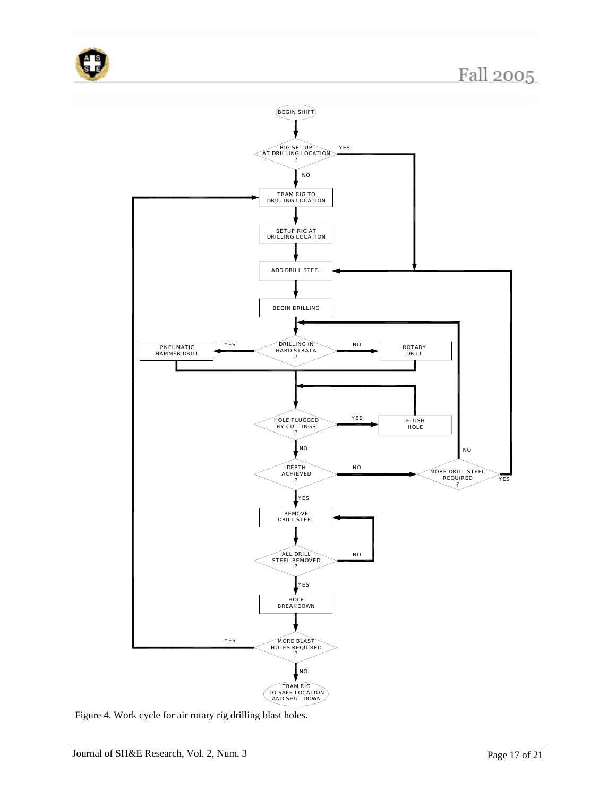



Figure 4. Work cycle for air rotary rig drilling blast holes.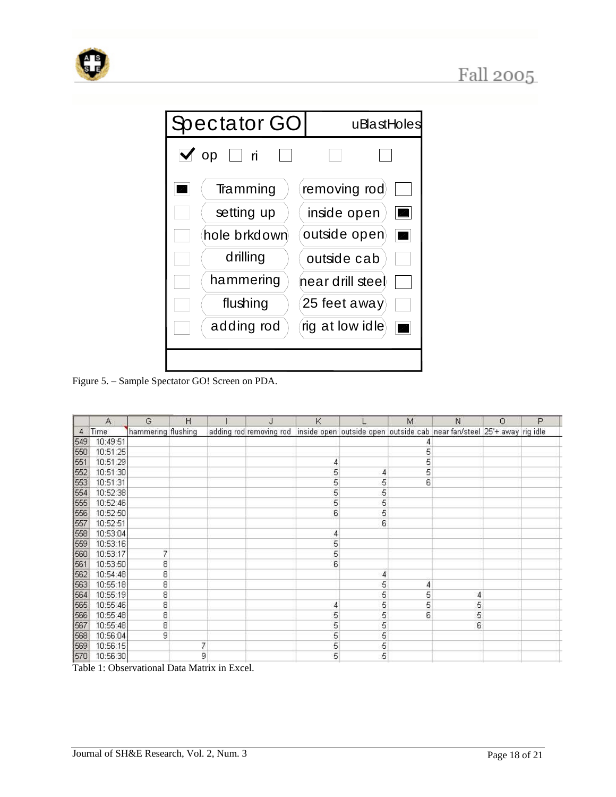





Figure 5. – Sample Spectator GO! Screen on PDA.

|     | Α        | G                  | Н |   | J | K |                | M | N                                                                                              | $\circ$ | P |
|-----|----------|--------------------|---|---|---|---|----------------|---|------------------------------------------------------------------------------------------------|---------|---|
| 4   | Time     | hammering flushing |   |   |   |   |                |   | adding rod removing rod inside open outside open outside cab near fan/steel 25'+ away rig idle |         |   |
| 549 | 10:49:51 |                    |   |   |   |   |                | 4 |                                                                                                |         |   |
| 550 | 10:51:25 |                    |   |   |   |   |                | 5 |                                                                                                |         |   |
| 551 | 10:51:29 |                    |   |   |   | 4 |                | 5 |                                                                                                |         |   |
| 552 | 10:51:30 |                    |   |   |   | 5 | 4              | 5 |                                                                                                |         |   |
| 553 | 10:51:31 |                    |   |   |   | 5 | 5              | 6 |                                                                                                |         |   |
| 554 | 10:52:38 |                    |   |   |   | 5 | 5              |   |                                                                                                |         |   |
| 555 | 10:52:46 |                    |   |   |   | 5 | 5              |   |                                                                                                |         |   |
| 556 | 10:52:50 |                    |   |   |   | 6 | 5              |   |                                                                                                |         |   |
| 557 | 10:52:51 |                    |   |   |   |   | 6              |   |                                                                                                |         |   |
| 558 | 10:53:04 |                    |   |   |   | 4 |                |   |                                                                                                |         |   |
| 559 | 10:53:16 |                    |   |   |   | 5 |                |   |                                                                                                |         |   |
| 560 | 10:53:17 | 7                  |   |   |   | 5 |                |   |                                                                                                |         |   |
| 561 | 10:53:50 | 8                  |   |   |   | 6 |                |   |                                                                                                |         |   |
| 562 | 10:54:48 | 8                  |   |   |   |   | $\overline{4}$ |   |                                                                                                |         |   |
| 563 | 10:55:18 | 8                  |   |   |   |   | 5              | 4 |                                                                                                |         |   |
| 564 | 10:55:19 | 8                  |   |   |   |   | 5              | 5 | 4                                                                                              |         |   |
| 565 | 10:55:46 | 8                  |   |   |   | 4 | 5              | 5 | 5                                                                                              |         |   |
| 566 | 10:55:48 | 8                  |   |   |   | 5 | 5              | 6 | 5                                                                                              |         |   |
| 567 | 10:55:48 | 8                  |   |   |   | 5 | 5              |   | 6                                                                                              |         |   |
| 568 | 10:56:04 | 9                  |   |   |   | 5 | 5              |   |                                                                                                |         |   |
| 569 | 10:56:15 |                    |   | 7 |   | 5 | 5              |   |                                                                                                |         |   |
| 570 | 10:56:30 |                    |   | 9 |   | 5 | 5              |   |                                                                                                |         |   |

Table 1: Observational Data Matrix in Excel.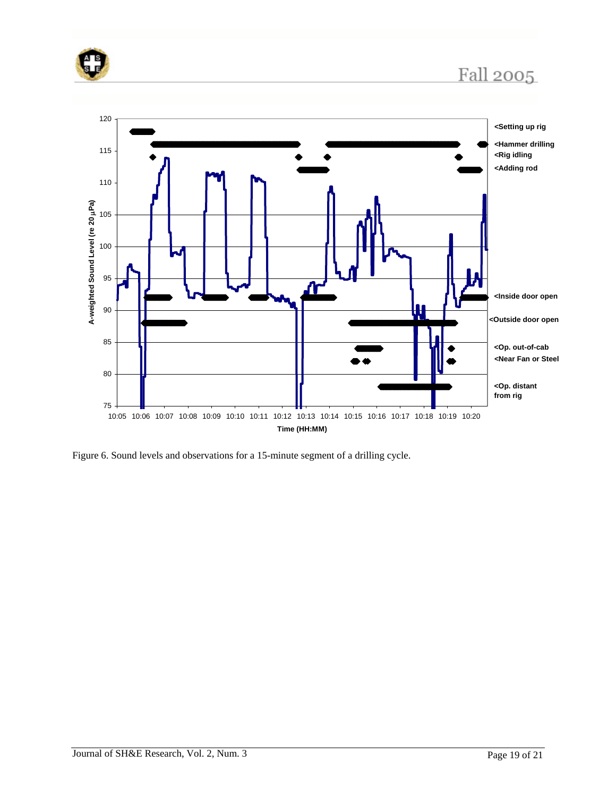



Figure 6. Sound levels and observations for a 15-minute segment of a drilling cycle.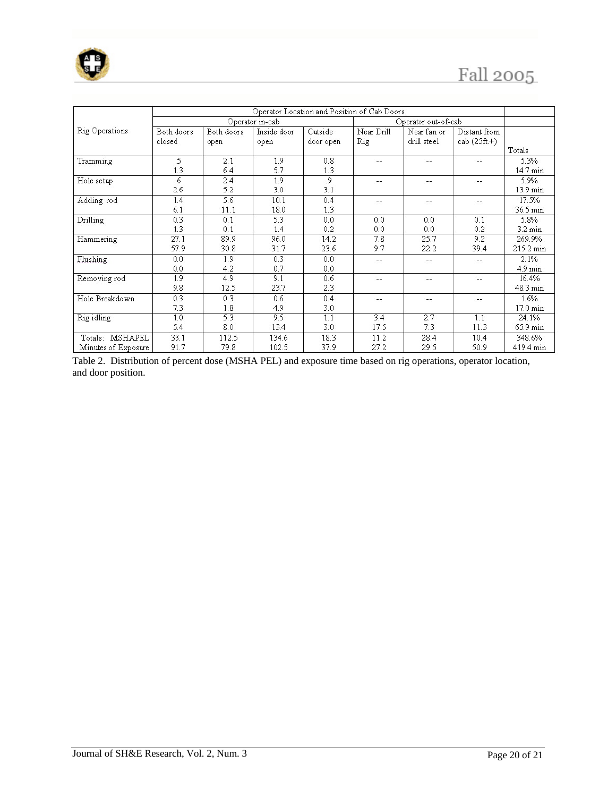

|                     | Operator Location and Position of Cab Doors |            |                 |           |                     |             |                |                   |  |
|---------------------|---------------------------------------------|------------|-----------------|-----------|---------------------|-------------|----------------|-------------------|--|
|                     |                                             |            | Operator in-cab |           | Operator out-of-cab |             |                |                   |  |
| Rig Operations      | Both doors                                  | Both doors | Inside door     | Outside   | Near Drill          | Near fan or | Distant from   |                   |  |
|                     | closed                                      | open       | open            | door open | Rig                 | drill steel | cab $(25ft.+)$ |                   |  |
|                     |                                             |            |                 |           |                     |             |                | Totals            |  |
| Tramming            | .5                                          | 2.1        | 1.9             | 0.8       | $-$                 | $-$         | $- -$          | 5.3%              |  |
|                     | 1.3                                         | 6.4        | 5.7             | 1.3       |                     |             |                | 14.7 min          |  |
| Hole setup          | .6                                          | 2.4        | 1.9             | .9        | $- -$               | $-$         | $-$            | 5.9%              |  |
|                     | 2.6                                         | 5.2        | 3.0             | 3.1       |                     |             |                | 13.9 min          |  |
| Adding rod          | 1.4                                         | 5.6        | 10.1            | 0.4       | $-$                 | $- -$       | $- -$          | 17.5%             |  |
|                     | 6.1                                         | 11.1       | 18.0            | 1.3       |                     |             |                | 36.5 min          |  |
| Drilling            | 0.3                                         | 0.1        | 5.3             | 0.0       | 0.0                 | 0.0         | 0.1            | 5.8%              |  |
|                     | 1.3                                         | 0.1        | 1.4             | 0.2       | 0.0                 | 0.0         | 0.2            | $3.2 \text{ min}$ |  |
| Hammering           | 27.1                                        | 89.9       | 96.0            | 14.2      | 7.8                 | 25.7        | 9.2            | 269.9%            |  |
|                     | 57.9                                        | 30.8       | 31.7            | 23.6      | 9.7                 | 22.2        | 39.4           | 215.2 min         |  |
| Flushing            | 0.0                                         | 1.9        | 0.3             | 0.0       | --                  | --          | --             | 2.1%              |  |
|                     | 0.0                                         | 4.2        | 0.7             | 0.0       |                     |             |                | $4.9 \text{ min}$ |  |
| Removing rod        | 1.9                                         | 4.9        | 9.1             | 0.6       | $-$                 | $-$         | $-$            | 16.4%             |  |
|                     | 9.8                                         | 12.5       | 23.7            | 2.3       |                     |             |                | 48.3 min          |  |
| Hole Breakdown      | 0.3                                         | 0.3        | 0.6             | 0.4       | $-1$                | $-$         | $-$            | 1.6%              |  |
|                     | 7.3                                         | 1.8        | 4.9             | 3.0       |                     |             |                | 17.0 min          |  |
| Rig idling          | 1.0                                         | 5.3        | 9.5             | 1.1       | 3.4                 | 2.7         | 1.1            | 24.1%             |  |
|                     | 5.4                                         | 8.0        | 13.4            | 3.0       | 17.5                | 7.3         | 11.3           | 65.9 min          |  |
| Totals: MSHAPEL     | 33.1                                        | 112.5      | 134.6           | 18.3      | 11.2                | 28.4        | 10.4           | 348.6%            |  |
| Minutes of Exposure | 91.7                                        | 79.8       | 102.5           | 37.9      | 27.2                | 29.5        | 50.9           | 419.4 min         |  |

Table 2. Distribution of percent dose (MSHA PEL) and exposure time based on rig operations, operator location, and door position.